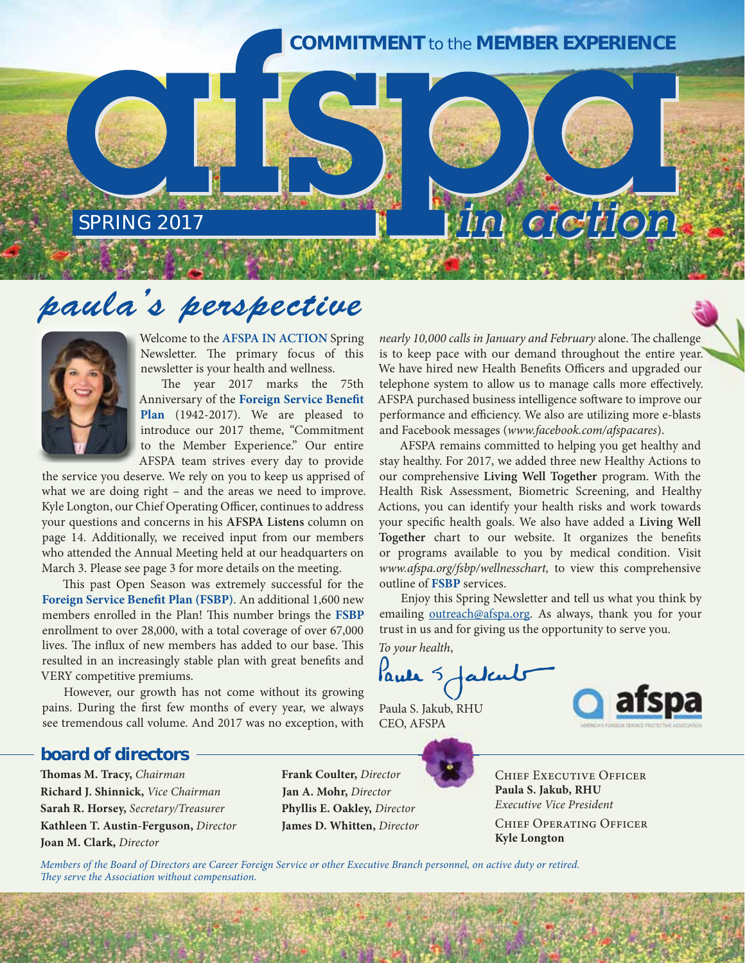### **COMMITMENT** *to the* **MEMBER EXPERIENCE**

# *paula's perspective* SPRING 2017<br> **ala's perspective**<br>
Welcome to the AFSPA IN ACTION Spring *nearly 10,000 calls in January and February* alone. The challenge



Welcome to the **AFSPA IN ACTION** Spring Newsletter. The primary focus of this newsletter is your health and wellness.

The year 2017 marks the 75th Anniversary of the **Foreign Service Benefit Plan** (1942-2017). We are pleased to introduce our 2017 theme, "Commitment to the Member Experience." Our entire AFSPA team strives every day to provide

the service you deserve. We rely on you to keep us apprised of what we are doing right – and the areas we need to improve. Kyle Longton, our Chief Operating Officer, continues to address your questions and concerns in his **AFSPA Listens** column on page 14. Additionally, we received input from our members who attended the Annual Meeting held at our headquarters on March 3. Please see page 3 for more details on the meeting.

This past Open Season was extremely successful for the **Foreign Service Benefit Plan (FSBP)**. An additional 1,600 new members enrolled in the Plan! This number brings the **FSBP** enrollment to over 28,000, with a total coverage of over 67,000 lives. The influx of new members has added to our base. This resulted in an increasingly stable plan with great benefits and VERY competitive premiums.

However, our growth has not come without its growing pains. During the first few months of every year, we always see tremendous call volume. And 2017 was no exception, with

nearly 10,000 calls in January and February alone. The challenge is to keep pace with our demand throughout the entire year. We have hired new Health Benefits Officers and upgraded our telephone system to allow us to manage calls more effectively. AFSPA purchased business intelligence software to improve our performance and efficiency. We also are utilizing more e-blasts and Facebook messages (www.facebook.com/afspacares).

AFSPA remains committed to helping you get healthy and stay healthy. For 2017, we added three new Healthy Actions to our comprehensive **Living Well Together** program. With the Health Risk Assessment, Biometric Screening, and Healthy Actions, you can identify your health risks and work towards your specific health goals. We also have added a **Living Well Together** chart to our website. It organizes the benefits or programs available to you by medical condition. Visit www.afspa.org/fsbp/wellnesschart, to view this comprehensive outline of **FSBP** services.

Enjoy this Spring Newsletter and tell us what you think by emailing outreach@afspa.org. As always, thank you for your trust in us and for giving us the opportunity to serve you.

To your health,

Paule 5 fatal

Paula S. Jakub, RHU CEO, AFSPA



### *board of directors*

**Thomas M. Tracy,** Chairman **Richard J. Shinnick,** Vice Chairman **Sarah R. Horsey,** Secretary/Treasurer **Kathleen T. Austin-Ferguson,** Director **Joan M. Clark,** Director

 **Frank Coulter,** Director **Jan A. Mohr,** Director  **Phyllis E. Oakley,** Director  **James D. Whitten,** Director

Chief Executive Officer **Paula S. Jakub, RHU**  Executive Vice President Chief Operating Officer **Kyle Longton**

Members of the Board of Directors are Career Foreign Service or other Executive Branch personnel, on active duty or retired. They serve the Association without compensation.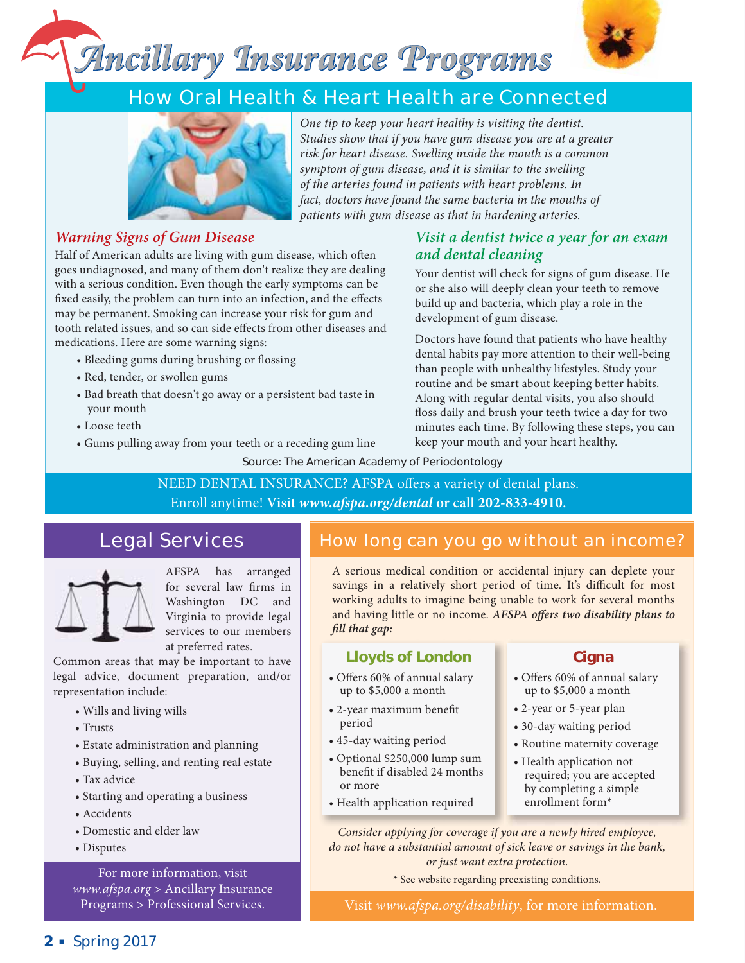## *Ancillary Insurance Programs*



### **How Oral Health & Heart Health are Connected**



One tip to keep your heart healthy is visiting the dentist. Studies show that if you have gum disease you are at a greater risk for heart disease. Swelling inside the mouth is a common symptom of gum disease, and it is similar to the swelling of the arteries found in patients with heart problems. In fact, doctors have found the same bacteria in the mouths of patients with gum disease as that in hardening arteries.

*and dental cleaning* 

development of gum disease.

### *Warning Signs of Gum Disease*

Half of American adults are living with gum disease, which often goes undiagnosed, and many of them don't realize they are dealing with a serious condition. Even though the early symptoms can be fixed easily, the problem can turn into an infection, and the effects may be permanent. Smoking can increase your risk for gum and tooth related issues, and so can side effects from other diseases and medications. Here are some warning signs:

- Bleeding gums during brushing or flossing
- Red, tender, or swollen gums
- Bad breath that doesn't go away or a persistent bad taste in your mouth
- Loose teeth
- Gums pulling away from your teeth or a receding gum line

Source: The American Academy of Periodontology

NEED DENTAL INSURANCE? AFSPA offers a variety of dental plans. Enroll anytime! **Visit** *www.afspa.org/dental* **or call 202-833-4910.**

### **Legal Services**



AFSPA has arranged for several law firms in Washington DC and Virginia to provide legal services to our members at preferred rates.

Common areas that may be important to have legal advice, document preparation, and/or representation include:

- Wills and living wills
- Trusts
- Estate administration and planning
- Buying, selling, and renting real estate
- Tax advice
- Starting and operating a business
- Accidents
- Domestic and elder law
- Disputes

For more information, visit www.afspa.org > Ancillary Insurance Programs > Professional Services.

### **How long can you go without an income?**

keep your mouth and your heart healthy.

*Visit a dentist twice a year for an exam* 

Your dentist will check for signs of gum disease. He or she also will deeply clean your teeth to remove build up and bacteria, which play a role in the

Doctors have found that patients who have healthy dental habits pay more attention to their well-being than people with unhealthy lifestyles. Study your routine and be smart about keeping better habits. Along with regular dental visits, you also should floss daily and brush your teeth twice a day for two minutes each time. By following these steps, you can

A serious medical condition or accidental injury can deplete your savings in a relatively short period of time. It's difficult for most working adults to imagine being unable to work for several months and having little or no income. *AFSPA offers two disability plans to fill that gap:* 

### **Lloyds of London**

- Offers 60% of annual salary up to \$5,000 a month
- 2-year maximum benefit period
- 45-day waiting period
- Optional \$250,000 lump sum benefit if disabled 24 months or more
- Health application required

### **Cigna**

- Offers 60% of annual salary up to \$5,000 a month
- 2-year or 5-year plan
- 30-day waiting period
- Routine maternity coverage
- Health application not required; you are accepted by completing a simple enrollment form\*

*Consider applying for coverage if you are a newly hired employee, do not have a substantial amount of sick leave or savings in the bank, or just want extra protection.* 

\* See website regarding preexisting conditions.

Visit www.afspa.org/disability, for more information.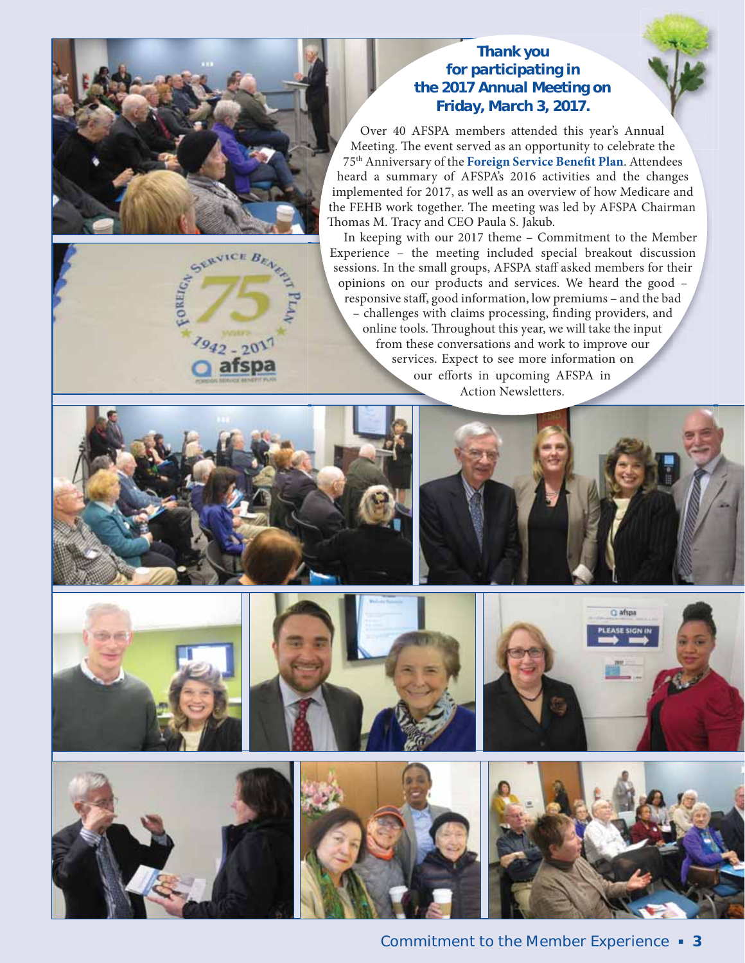

### *Thank you for participating in the 2017 Annual Meeting on Friday, March 3, 2017.*

Over 40 AFSPA members attended this year's Annual Meeting. The event served as an opportunity to celebrate the 75th Anniversary of the **Foreign Service Benefit Plan**. Attendees heard a summary of AFSPA's 2016 activities and the changes implemented for 2017, as well as an overview of how Medicare and the FEHB work together. The meeting was led by AFSPA Chairman Thomas M. Tracy and CEO Paula S. Jakub.

In keeping with our 2017 theme – Commitment to the Member Experience – the meeting included special breakout discussion sessions. In the small groups, AFSPA staff asked members for their opinions on our products and services. We heard the good – responsive staff, good information, low premiums – and the bad – challenges with claims processing, finding providers, and online tools. Throughout this year, we will take the input from these conversations and work to improve our services. Expect to see more information on our efforts in upcoming AFSPA in Action Newsletters.











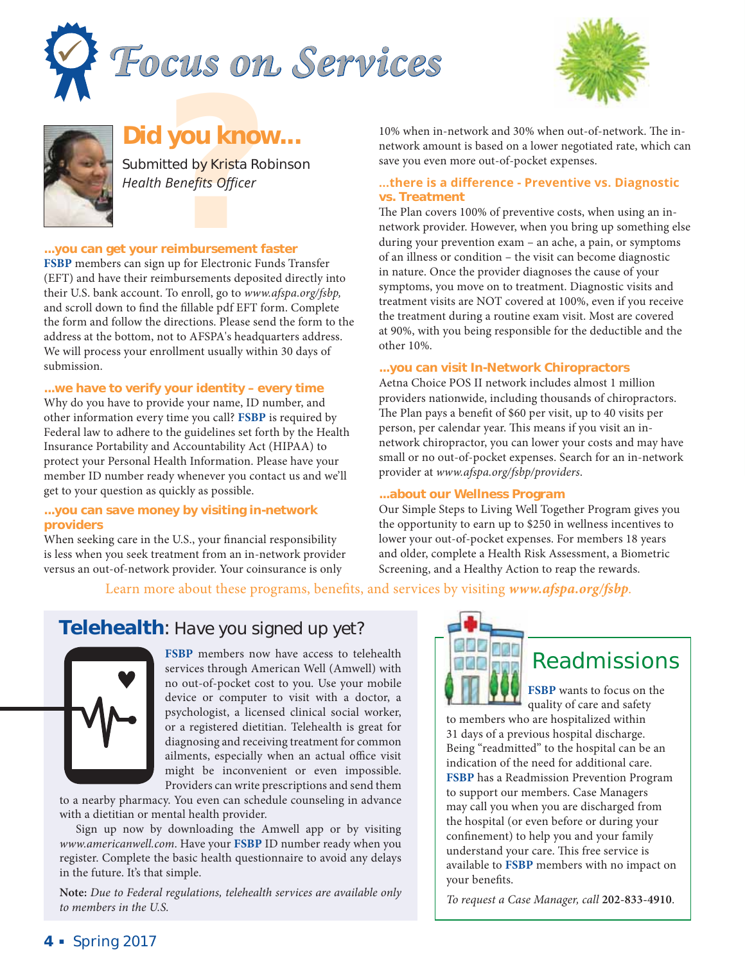





### *Did you know...*

*you know*<br>tted by Krista<br>Benefits Office<br>**reimbursemen**<br>w for Electronic Submitted by Krista Robinson *Health Benefits Officer* 

#### **...you can get your reimbursement faster**

**FSBP** members can sign up for Electronic Funds Transfer (EFT) and have their reimbursements deposited directly into their U.S. bank account. To enroll, go to www.afspa.org/fsbp, and scroll down to find the fillable pdf EFT form. Complete the form and follow the directions. Please send the form to the address at the bottom, not to AFSPA's headquarters address. We will process your enrollment usually within 30 days of submission.

#### **...we have to verify your identity – every time**

Why do you have to provide your name, ID number, and other information every time you call? **FSBP** is required by Federal law to adhere to the guidelines set forth by the Health Insurance Portability and Accountability Act (HIPAA) to protect your Personal Health Information. Please have your member ID number ready whenever you contact us and we'll get to your question as quickly as possible.

#### **...you can save money by visiting in-network providers**

When seeking care in the U.S., your financial responsibility is less when you seek treatment from an in-network provider versus an out-of-network provider. Your coinsurance is only

10% when in-network and 30% when out-of-network. The innetwork amount is based on a lower negotiated rate, which can save you even more out-of-pocket expenses.

#### **where is a difference - Preventive vs. Diagnostic vs. Treatment**

The Plan covers 100% of preventive costs, when using an innetwork provider. However, when you bring up something else during your prevention exam – an ache, a pain, or symptoms of an illness or condition – the visit can become diagnostic in nature. Once the provider diagnoses the cause of your symptoms, you move on to treatment. Diagnostic visits and treatment visits are NOT covered at 100%, even if you receive the treatment during a routine exam visit. Most are covered at 90%, with you being responsible for the deductible and the other 10%.

#### **...you can visit In-Network Chiropractors**

Aetna Choice POS II network includes almost 1 million providers nationwide, including thousands of chiropractors. The Plan pays a benefit of \$60 per visit, up to 40 visits per person, per calendar year. This means if you visit an innetwork chiropractor, you can lower your costs and may have small or no out-of-pocket expenses. Search for an in-network provider at www.afspa.org/fsbp/providers.

#### **...about our Wellness Program**

Our Simple Steps to Living Well Together Program gives you the opportunity to earn up to \$250 in wellness incentives to lower your out-of-pocket expenses. For members 18 years and older, complete a Health Risk Assessment, a Biometric Screening, and a Healthy Action to reap the rewards.

### Learn more about these programs, benefits, and services by visiting *www.afspa.org/fsbp*.

### **Telehealth**: *Have you signed up yet?*



**FSBP** members now have access to telehealth services through American Well (Amwell) with no out-of-pocket cost to you. Use your mobile device or computer to visit with a doctor, a psychologist, a licensed clinical social worker, or a registered dietitian. Telehealth is great for diagnosing and receiving treatment for common ailments, especially when an actual office visit might be inconvenient or even impossible. Providers can write prescriptions and send them

to a nearby pharmacy. You even can schedule counseling in advance with a dietitian or mental health provider.

Sign up now by downloading the Amwell app or by visiting www.americanwell.com. Have your **FSBP** ID number ready when you register. Complete the basic health questionnaire to avoid any delays in the future. It's that simple.

**Note:** Due to Federal regulations, telehealth services are available only to members in the U.S.



### **Readmissions**

**FSBP** wants to focus on the quality of care and safety

to members who are hospitalized within 31 days of a previous hospital discharge. Being "readmitted" to the hospital can be an indication of the need for additional care. **FSBP** has a Readmission Prevention Program to support our members. Case Managers may call you when you are discharged from the hospital (or even before or during your confinement) to help you and your family understand your care. This free service is available to **FSBP** members with no impact on your benefits.

To request a Case Manager, call **202-833-4910**.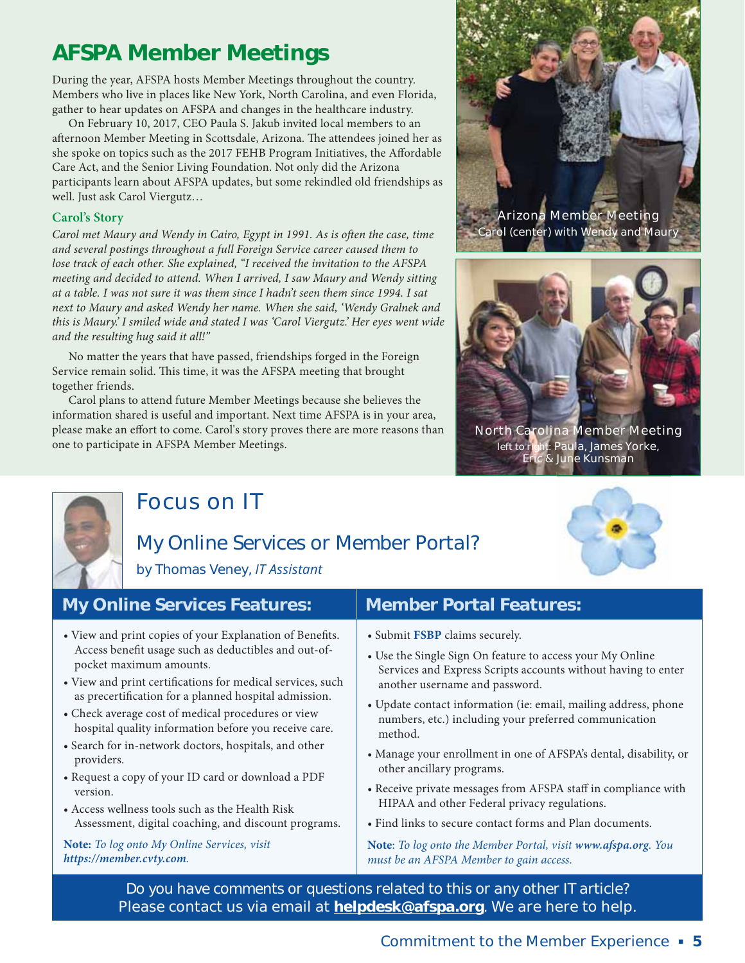### **AFSPA Member Meetings**

During the year, AFSPA hosts Member Meetings throughout the country. Members who live in places like New York, North Carolina, and even Florida, gather to hear updates on AFSPA and changes in the healthcare industry.

On February 10, 2017, CEO Paula S. Jakub invited local members to an afternoon Member Meeting in Scottsdale, Arizona. The attendees joined her as she spoke on topics such as the 2017 FEHB Program Initiatives, the Affordable Care Act, and the Senior Living Foundation. Not only did the Arizona participants learn about AFSPA updates, but some rekindled old friendships as well. Just ask Carol Viergutz…

### **Carol's Story**

Carol met Maury and Wendy in Cairo, Egypt in 1991. As is often the case, time and several postings throughout a full Foreign Service career caused them to lose track of each other. She explained, "I received the invitation to the AFSPA meeting and decided to attend. When I arrived, I saw Maury and Wendy sitting at a table. I was not sure it was them since I hadn't seen them since 1994. I sat next to Maury and asked Wendy her name. When she said, 'Wendy Gralnek and this is Maury.' I smiled wide and stated I was 'Carol Viergutz.' Her eyes went wide and the resulting hug said it all!"

No matter the years that have passed, friendships forged in the Foreign Service remain solid. This time, it was the AFSPA meeting that brought together friends.

Carol plans to attend future Member Meetings because she believes the information shared is useful and important. Next time AFSPA is in your area, please make an effort to come. Carol's story proves there are more reasons than one to participate in AFSPA Member Meetings.





**North Carolina Member Meeting** *left to right:* **Paula, James Yorke, Eric & June Kunsman**



providers.

version.

### **Focus on IT**

### *My Online Services or Member Portal?* by Thomas Veney, IT Assistant



pocket maximum amounts.

• View and print copies of your Explanation of Benefits. Access benefit usage such as deductibles and out-of-

• View and print certifications for medical services, such as precertification for a planned hospital admission. • Check average cost of medical procedures or view hospital quality information before you receive care. • Search for in-network doctors, hospitals, and other

• Request a copy of your ID card or download a PDF

Assessment, digital coaching, and discount programs.

• Access wellness tools such as the Health Risk

**Note:** To log onto My Online Services, visit

*https://member.cvty.com*.

### **My Online Services Features: | Member Portal Features:**

- Submit **FSBP** claims securely.
- Use the Single Sign On feature to access your My Online Services and Express Scripts accounts without having to enter another username and password.
- Update contact information (ie: email, mailing address, phone numbers, etc.) including your preferred communication method.
- Manage your enrollment in one of AFSPA's dental, disability, or other ancillary programs.
- Receive private messages from AFSPA staff in compliance with HIPAA and other Federal privacy regulations.
- Find links to secure contact forms and Plan documents.

**Note**: To log onto the Member Portal, visit *www.afspa.org*. You must be an AFSPA Member to gain access.

*Do you have comments or questions related to this or any other IT article?* **Please contact us via email at helpdesk@afspa.org**. **We are here to help.**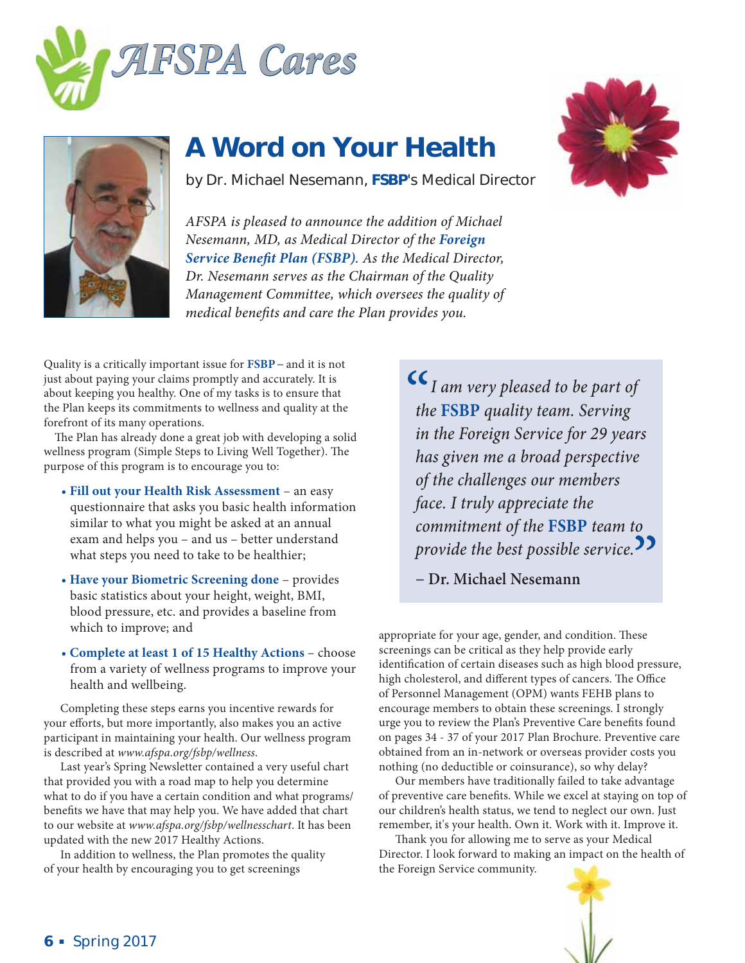



### **A Word on Your Health**

by Dr. Michael Nesemann, **FSBP**'s Medical Director

*AFSPA is pleased to announce the addition of Michael Nesemann, MD, as Medical Director of the Foreign Service Benefit Plan (FSBP). As the Medical Director, Dr. Nesemann serves as the Chairman of the Quality Management Committee, which oversees the quality of medical benefits and care the Plan provides you.*

Quality is a critically important issue for **FSBP−** and it is not just about paying your claims promptly and accurately. It is about keeping you healthy. One of my tasks is to ensure that the Plan keeps its commitments to wellness and quality at the forefront of its many operations.

The Plan has already done a great job with developing a solid wellness program (Simple Steps to Living Well Together). The purpose of this program is to encourage you to:

- • **Fill out your Health Risk Assessment** an easy questionnaire that asks you basic health information similar to what you might be asked at an annual exam and helps you – and us – better understand what steps you need to take to be healthier;
- **Have your Biometric Screening done** provides basic statistics about your height, weight, BMI, blood pressure, etc. and provides a baseline from which to improve; and
- • **Complete at least 1 of 15 Healthy Actions**  choose from a variety of wellness programs to improve your health and wellbeing.

Completing these steps earns you incentive rewards for your efforts, but more importantly, also makes you an active participant in maintaining your health. Our wellness program is described at www.afspa.org/fsbp/wellness.

Last year's Spring Newsletter contained a very useful chart that provided you with a road map to help you determine what to do if you have a certain condition and what programs/ benefits we have that may help you. We have added that chart to our website at www.afspa.org/fsbp/wellnesschart. It has been updated with the new 2017 Healthy Actions.

In addition to wellness, the Plan promotes the quality of your health by encouraging you to get screenings

 *I am very pleased to be part of the* **FSBP** *quality team. Serving in the Foreign Service for 29 years has given me a broad perspective of the challenges our members face. I truly appreciate the commitment of the* **FSBP** *team to provide the best possible service.*

**− Dr. Michael Nesemann**

appropriate for your age, gender, and condition. These screenings can be critical as they help provide early identification of certain diseases such as high blood pressure, high cholesterol, and different types of cancers. The Office of Personnel Management (OPM) wants FEHB plans to encourage members to obtain these screenings. I strongly urge you to review the Plan's Preventive Care benefits found on pages 34 - 37 of your 2017 Plan Brochure. Preventive care obtained from an in-network or overseas provider costs you nothing (no deductible or coinsurance), so why delay?

Our members have traditionally failed to take advantage of preventive care benefits. While we excel at staying on top of our children's health status, we tend to neglect our own. Just remember, it's your health. Own it. Work with it. Improve it.

Thank you for allowing me to serve as your Medical Director. I look forward to making an impact on the health of the Foreign Service community.



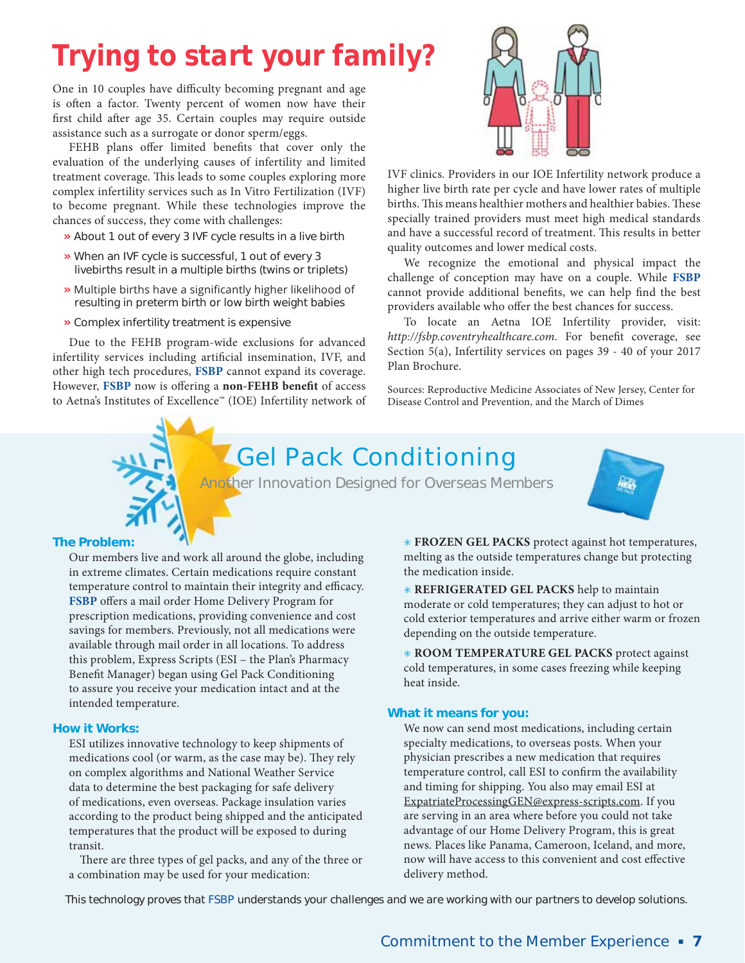### *Trying to start your family?*

One in 10 couples have difficulty becoming pregnant and age is often a factor. Twenty percent of women now have their first child after age 35. Certain couples may require outside assistance such as a surrogate or donor sperm/eggs.

FEHB plans offer limited benefits that cover only the evaluation of the underlying causes of infertility and limited treatment coverage. This leads to some couples exploring more complex infertility services such as In Vitro Fertilization (IVF) to become pregnant. While these technologies improve the chances of success, they come with challenges:

- **»** About 1 out of every 3 IVF cycle results in a live birth
- **»** When an IVF cycle is successful, 1 out of every 3 livebirths result in a multiple births (twins or triplets)
- » Multiple births have a significantly higher likelihood of resulting in preterm birth or low birth weight babies
- **»** Complex infertility treatment is expensive

Due to the FEHB program-wide exclusions for advanced infertility services including artificial insemination, IVF, and other high tech procedures, **FSBP** cannot expand its coverage. However, **FSBP** now is offering a **non-FEHB benefit** of access to Aetna's Institutes of Excellence™ (IOE) Infertility network of



IVF clinics. Providers in our IOE Infertility network produce a higher live birth rate per cycle and have lower rates of multiple births. This means healthier mothers and healthier babies. These specially trained providers must meet high medical standards and have a successful record of treatment. This results in better quality outcomes and lower medical costs.

We recognize the emotional and physical impact the challenge of conception may have on a couple. While **FSBP** cannot provide additional benefits, we can help find the best providers available who offer the best chances for success.

To locate an Aetna IOE Infertility provider, visit: http://fsbp.coventryhealthcare.com. For benefit coverage, see Section 5(a), Infertility services on pages 39 - 40 of your 2017 Plan Brochure.

Sources: Reproductive Medicine Associates of New Jersey, Center for Disease Control and Prevention, and the March of Dimes

### **Gel Pack Conditioning**

*Another Innovation Designed for Overseas Members*



#### **The Problem:**

Our members live and work all around the globe, including in extreme climates. Certain medications require constant temperature control to maintain their integrity and efficacy. **FSBP** offers a mail order Home Delivery Program for prescription medications, providing convenience and cost savings for members. Previously, not all medications were available through mail order in all locations. To address this problem, Express Scripts (ESI – the Plan's Pharmacy Benefit Manager) began using Gel Pack Conditioning to assure you receive your medication intact and at the intended temperature.

#### **How it Works:**

ESI utilizes innovative technology to keep shipments of medications cool (or warm, as the case may be). They rely on complex algorithms and National Weather Service data to determine the best packaging for safe delivery of medications, even overseas. Package insulation varies according to the product being shipped and the anticipated temperatures that the product will be exposed to during transit.

There are three types of gel packs, and any of the three or a combination may be used for your medication:

• **FROZEN GEL PACKS** protect against hot temperatures, melting as the outside temperatures change but protecting the medication inside.

• **REFRIGERATED GEL PACKS** help to maintain moderate or cold temperatures; they can adjust to hot or cold exterior temperatures and arrive either warm or frozen depending on the outside temperature.

• **ROOM TEMPERATURE GEL PACKS** protect against cold temperatures, in some cases freezing while keeping heat inside.

#### **What it means for you:**

We now can send most medications, including certain specialty medications, to overseas posts. When your physician prescribes a new medication that requires temperature control, call ESI to confirm the availability and timing for shipping. You also may email ESI at ExpatriateProcessingGEN@express-scripts.com. If you are serving in an area where before you could not take advantage of our Home Delivery Program, this is great news. Places like Panama, Cameroon, Iceland, and more, now will have access to this convenient and cost effective delivery method.

*This technology proves that* **FSBP** *understands your challenges and we are working with our partners to develop solutions.*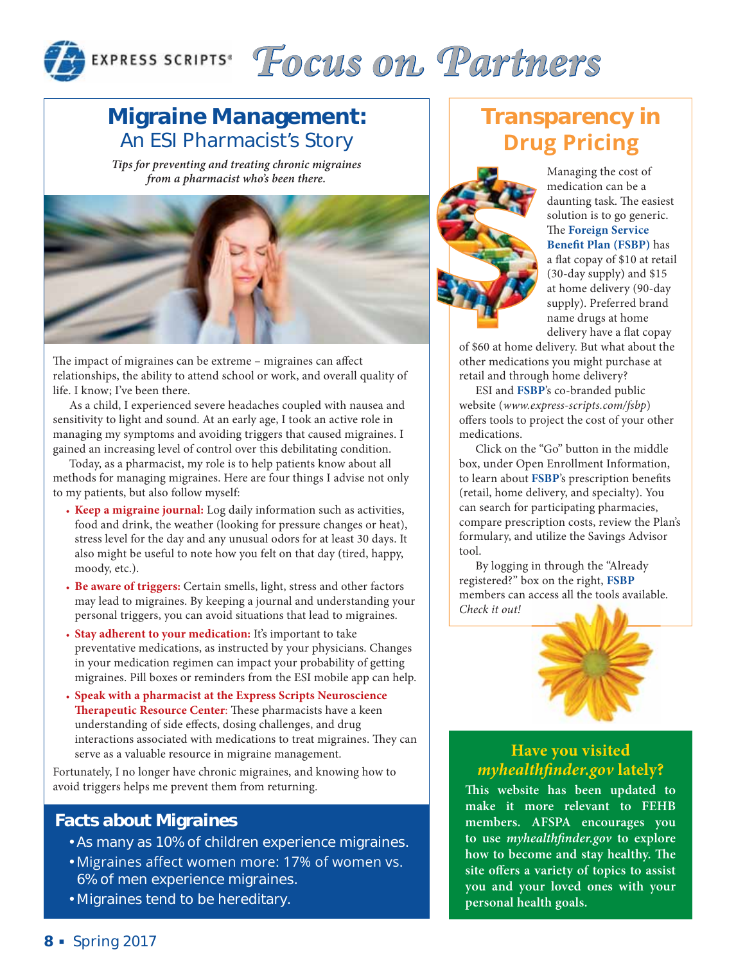

## EXPRESS SCRIPTS<sup>®</sup> Focus on Partners

### **Migraine Management:** An ESI Pharmacist's Story

*Tips for preventing and treating chronic migraines from a pharmacist who's been there.* 



The impact of migraines can be extreme – migraines can affect relationships, the ability to attend school or work, and overall quality of life. I know; I've been there.

As a child, I experienced severe headaches coupled with nausea and sensitivity to light and sound. At an early age, I took an active role in managing my symptoms and avoiding triggers that caused migraines. I gained an increasing level of control over this debilitating condition.

Today, as a pharmacist, my role is to help patients know about all methods for managing migraines. Here are four things I advise not only to my patients, but also follow myself:

- **Keep a migraine journal:** Log daily information such as activities, food and drink, the weather (looking for pressure changes or heat), stress level for the day and any unusual odors for at least 30 days. It also might be useful to note how you felt on that day (tired, happy, moody, etc.).
- **Be aware of triggers:** Certain smells, light, stress and other factors may lead to migraines. By keeping a journal and understanding your personal triggers, you can avoid situations that lead to migraines.
- **Stay adherent to your medication:** It's important to take preventative medications, as instructed by your physicians. Changes in your medication regimen can impact your probability of getting migraines. Pill boxes or reminders from the ESI mobile app can help.
- **Speak with a pharmacist at the Express Scripts Neuroscience Therapeutic Resource Center**: These pharmacists have a keen understanding of side effects, dosing challenges, and drug interactions associated with medications to treat migraines. They can serve as a valuable resource in migraine management.

Fortunately, I no longer have chronic migraines, and knowing how to avoid triggers helps me prevent them from returning.

### *Facts about Migraines*

- As many as 10% of children experience migraines.
- Migraines affect women more: 17% of women vs. 6% of men experience migraines.
- Migraines tend to be hereditary.

### **Transparency in Drug Pricing**



Managing the cost of medication can be a daunting task. The easiest solution is to go generic. The **Foreign Service Benefit Plan (FSBP)** has a flat copay of \$10 at retail (30-day supply) and \$15 at home delivery (90-day supply). Preferred brand name drugs at home delivery have a flat copay

of \$60 at home delivery. But what about the other medications you might purchase at retail and through home delivery?

ESI and **FSBP**'s co-branded public website (www.express-scripts.com/fsbp) offers tools to project the cost of your other medications.

Click on the "Go" button in the middle box, under Open Enrollment Information, to learn about **FSBP**'s prescription benefits (retail, home delivery, and specialty). You can search for participating pharmacies, compare prescription costs, review the Plan's formulary, and utilize the Savings Advisor tool.

By logging in through the "Already registered?" box on the right, **FSBP** members can access all the tools available. Check it out!



### **Have you visited**  *myhealthfinder.gov* **lately?**

**This website has been updated to make it more relevant to FEHB members. AFSPA encourages you to use** *myhealthfinder.gov* **to explore how to become and stay healthy. The site offers a variety of topics to assist you and your loved ones with your personal health goals.**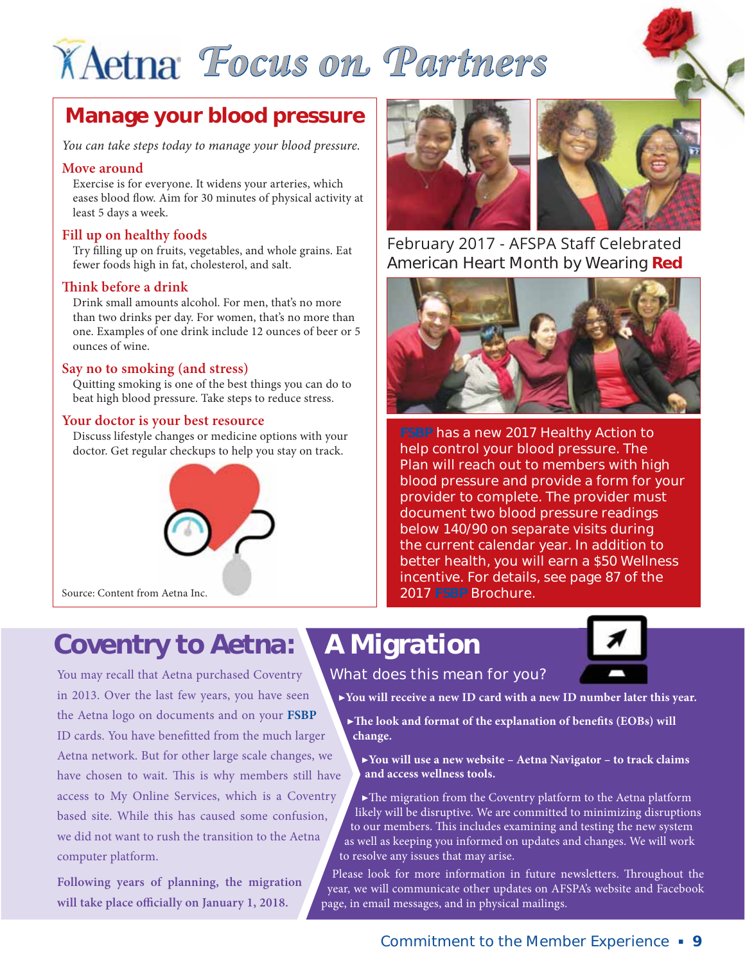## *Focus on Partners*

### **Manage your blood pressure**

You can take steps today to manage your blood pressure.

#### **Move around**

Exercise is for everyone. It widens your arteries, which eases blood flow. Aim for 30 minutes of physical activity at least 5 days a week.

### **Fill up on healthy foods**

Try filling up on fruits, vegetables, and whole grains. Eat fewer foods high in fat, cholesterol, and salt.

### **Think before a drink**

Drink small amounts alcohol. For men, that's no more than two drinks per day. For women, that's no more than one. Examples of one drink include 12 ounces of beer or 5 ounces of wine.

### **Say no to smoking (and stress)**

Quitting smoking is one of the best things you can do to beat high blood pressure. Take steps to reduce stress.

### **Your doctor is your best resource**

Discuss lifestyle changes or medicine options with your doctor. Get regular checkups to help you stay on track.





February 2017 - AFSPA Staff Celebrated American Heart Month by Wearing **Red**



**FSBP has a new 2017 Healthy Action to help control your blood pressure. The Plan will reach out to members with high blood pressure and provide a form for your provider to complete. The provider must document two blood pressure readings below 140/90 on separate visits during the current calendar year. In addition to better health, you will earn a \$50 Wellness incentive. For details, see page 87 of the 2017 FSBP Brochure.**

### *Coventry to Aetna:*

You may recall that Aetna purchased Coventry in 2013. Over the last few years, you have seen the Aetna logo on documents and on your **FSBP** ID cards. You have benefitted from the much larger Aetna network. But for other large scale changes, we have chosen to wait. This is why members still have access to My Online Services, which is a Coventry based site. While this has caused some confusion, we did not want to rush the transition to the Aetna computer platform.

**Following years of planning, the migration will take place officially on January 1, 2018.** 

*What does this mean for you?* 

*A Migration*

**▶You will receive a new ID card with a new ID number later this year.**

**▶The look and format of the explanation of benefits (EOBs) will change.** 

**▶You will use a new website – Aetna Navigator – to track claims and access wellness tools.** 

**▶**The migration from the Coventry platform to the Aetna platform likely will be disruptive. We are committed to minimizing disruptions to our members. This includes examining and testing the new system as well as keeping you informed on updates and changes. We will work to resolve any issues that may arise.

Please look for more information in future newsletters. Throughout the year, we will communicate other updates on AFSPA's website and Facebook page, in email messages, and in physical mailings.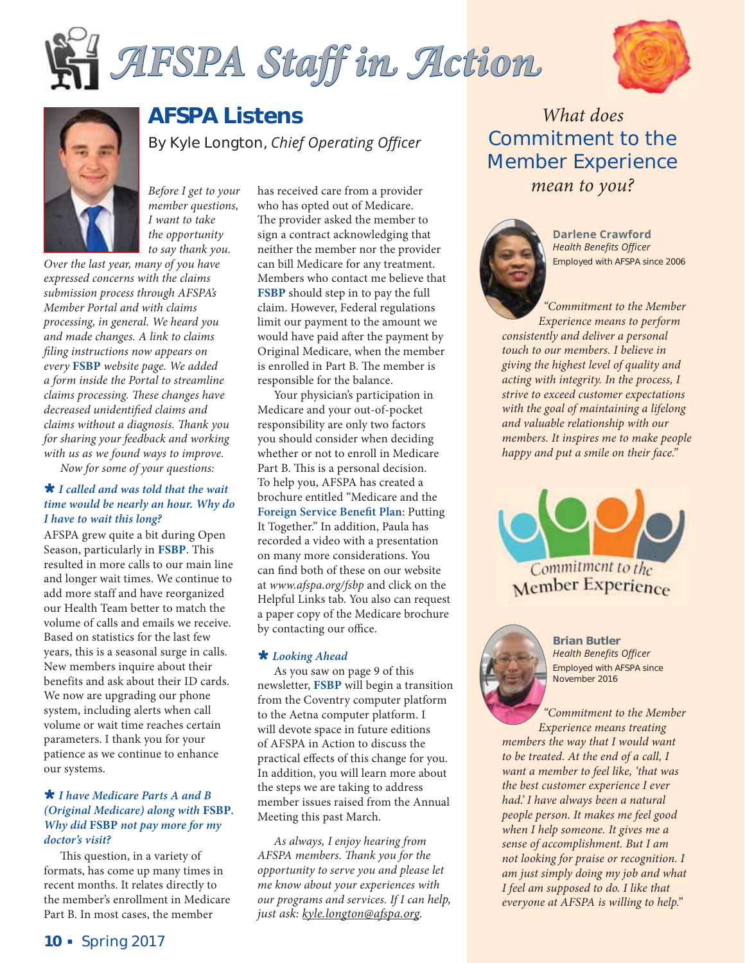





### **AFSPA Listens**

By Kyle Longton, *Chief Operating Officer* 

Before I get to your member questions, I want to take the opportunity to say thank you.

Over the last year, many of you have expressed concerns with the claims submission process through AFSPA's Member Portal and with claims processing, in general. We heard you and made changes. A link to claims filing instructions now appears on every **FSBP** website page. We added a form inside the Portal to streamline claims processing. These changes have decreased unidentified claims and claims without a diagnosis. Thank you for sharing your feedback and working with us as we found ways to improve.

Now for some of your questions:

#### » *I called and was told that the wait time would be nearly an hour. Why do I have to wait this long?*

AFSPA grew quite a bit during Open Season, particularly in **FSBP**. This resulted in more calls to our main line and longer wait times. We continue to add more staff and have reorganized our Health Team better to match the volume of calls and emails we receive. Based on statistics for the last few years, this is a seasonal surge in calls. New members inquire about their benefits and ask about their ID cards. We now are upgrading our phone system, including alerts when call volume or wait time reaches certain parameters. I thank you for your patience as we continue to enhance our systems.

#### » *I have Medicare Parts A and B (Original Medicare) along with* **FSBP***. Why did* **FSBP** *not pay more for my doctor's visit?*

This question, in a variety of formats, has come up many times in recent months. It relates directly to the member's enrollment in Medicare Part B. In most cases, the member

has received care from a provider who has opted out of Medicare. The provider asked the member to sign a contract acknowledging that neither the member nor the provider can bill Medicare for any treatment. Members who contact me believe that **FSBP** should step in to pay the full claim. However, Federal regulations limit our payment to the amount we would have paid after the payment by Original Medicare, when the member is enrolled in Part B. The member is responsible for the balance.

Your physician's participation in Medicare and your out-of-pocket responsibility are only two factors you should consider when deciding whether or not to enroll in Medicare Part B. This is a personal decision. To help you, AFSPA has created a brochure entitled "Medicare and the **Foreign Service Benefit Plan**: Putting It Together." In addition, Paula has recorded a video with a presentation on many more considerations. You can find both of these on our website at www.afspa.org/fsbp and click on the Helpful Links tab. You also can request a paper copy of the Medicare brochure by contacting our office.

#### » *Looking Ahead*

As you saw on page 9 of this newsletter, **FSBP** will begin a transition from the Coventry computer platform to the Aetna computer platform. I will devote space in future editions of AFSPA in Action to discuss the practical effects of this change for you. In addition, you will learn more about the steps we are taking to address member issues raised from the Annual Meeting this past March.

As always, I enjoy hearing from AFSPA members. Thank you for the opportunity to serve you and please let me know about your experiences with our programs and services. If I can help, just ask: kyle.longton@afspa.org.

What does **Commitment to the Member Experience** mean to you?



**Darlene Crawford Health Benefits Officer** Employed with AFSPA since 2006

"Commitment to the Member Experience means to perform consistently and deliver a personal touch to our members. I believe in giving the highest level of quality and acting with integrity. In the process, I strive to exceed customer expectations with the goal of maintaining a lifelong and valuable relationship with our members. It inspires me to make people happy and put a smile on their face."





**Brian Butler Health Benefits Officer** Employed with AFSPA since November 2016

"Commitment to the Member Experience means treating members the way that I would want to be treated. At the end of a call, I want a member to feel like, 'that was the best customer experience I ever had.' I have always been a natural people person. It makes me feel good when I help someone. It gives me a sense of accomplishment. But I am not looking for praise or recognition. I am just simply doing my job and what I feel am supposed to do. I like that everyone at AFSPA is willing to help."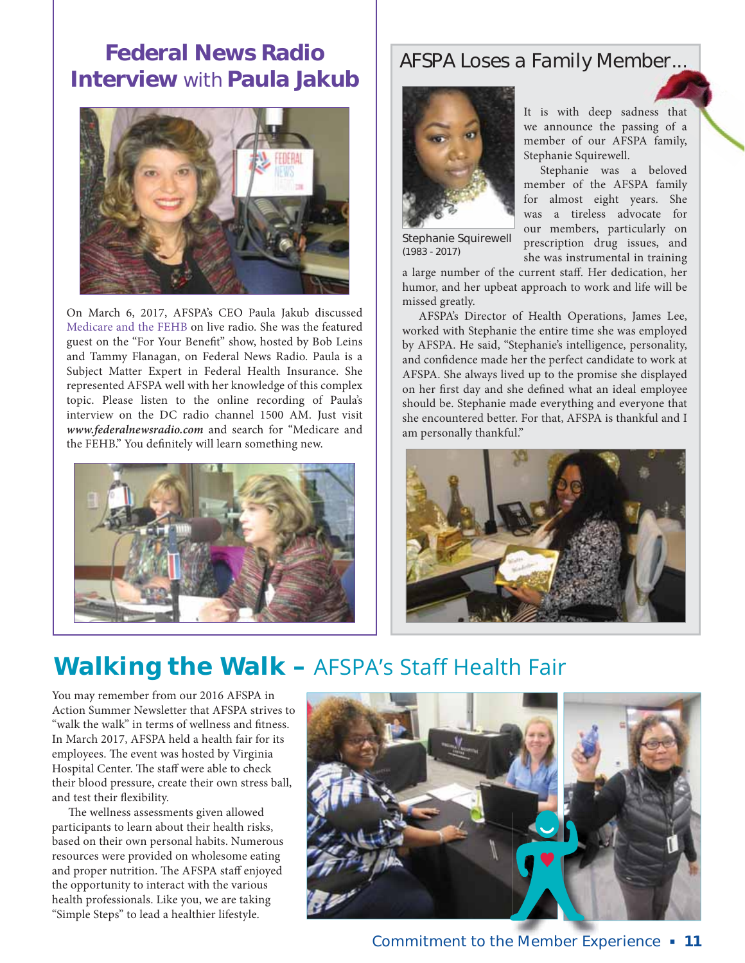### **Federal News Radio Interview** *with* **Paula Jakub**



On March 6, 2017, AFSPA's CEO Paula Jakub discussed Medicare and the FEHB on live radio. She was the featured guest on the "For Your Benefit" show, hosted by Bob Leins and Tammy Flanagan, on Federal News Radio. Paula is a Subject Matter Expert in Federal Health Insurance. She represented AFSPA well with her knowledge of this complex topic. Please listen to the online recording of Paula's interview on the DC radio channel 1500 AM. Just visit *www.federalnewsradio.com* and search for "Medicare and the FEHB." You definitely will learn something new.



### *AFSPA Loses a Family Member... er...*



Stephanie Squirewell *(1983 - 2017)*

It is with deep sadness that we announce the passing of a member of our AFSPA family, Stephanie Squirewell.

Stephanie was a beloved member of the AFSPA family for almost eight years. She was a tireless advocate for our members, particularly on prescription drug issues, and she was instrumental in training

a large number of the current staff. Her dedication, her humor, and her upbeat approach to work and life will be missed greatly.

AFSPA's Director of Health Operations, James Lee, worked with Stephanie the entire time she was employed by AFSPA. He said, "Stephanie's intelligence, personality, and confidence made her the perfect candidate to work at AFSPA. She always lived up to the promise she displayed on her first day and she defined what an ideal employee should be. Stephanie made everything and everyone that she encountered better. For that, AFSPA is thankful and I am personally thankful."



### **Walking the Walk – AFSPA's Staff Health Fair**

You may remember from our 2016 AFSPA in Action Summer Newsletter that AFSPA strives to "walk the walk" in terms of wellness and fitness. In March 2017, AFSPA held a health fair for its employees. The event was hosted by Virginia Hospital Center. The staff were able to check their blood pressure, create their own stress ball, and test their flexibility.

The wellness assessments given allowed participants to learn about their health risks, based on their own personal habits. Numerous resources were provided on wholesome eating and proper nutrition. The AFSPA staff enjoyed the opportunity to interact with the various health professionals. Like you, we are taking "Simple Steps" to lead a healthier lifestyle.